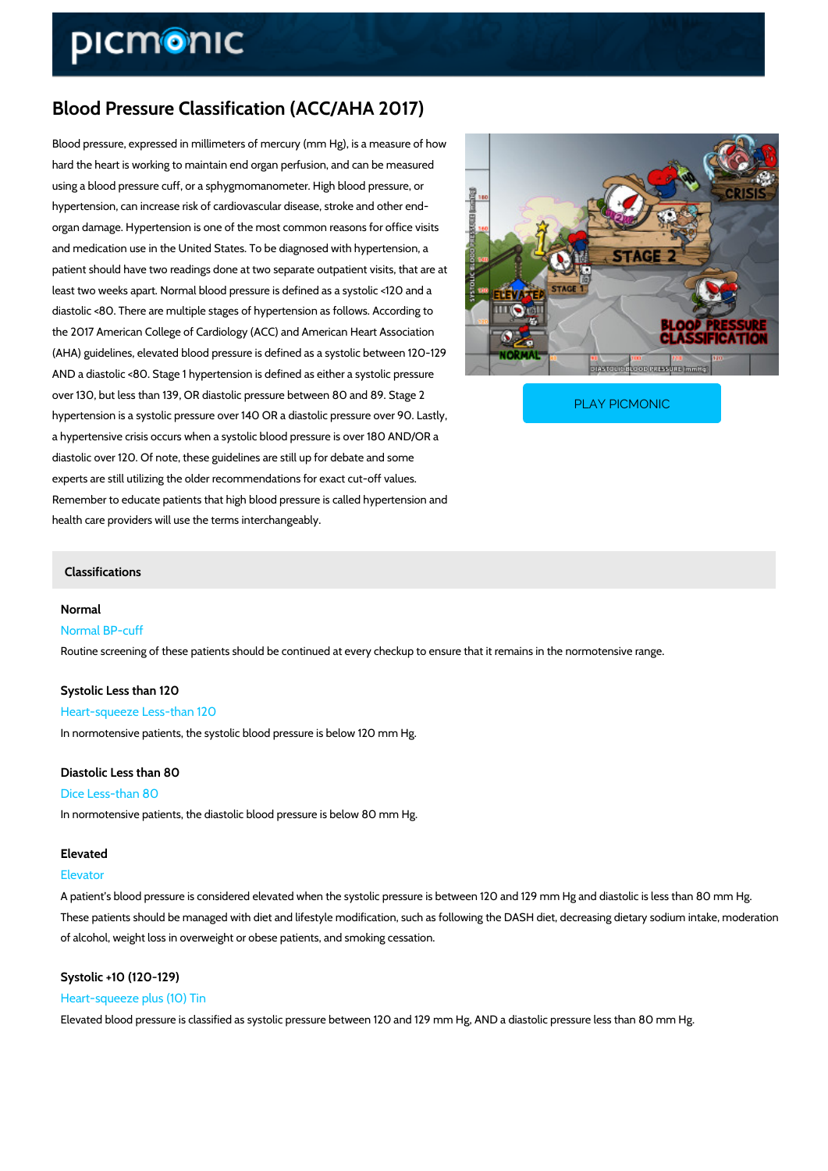# Blood Pressure Classification (ACC/AHA 2017)

Blood pressure, expressed in millimeters of mercury (mm Hg), is a measure of how hard the heart is working to maintain end organ perfusion, and can be measured using a blood pressure cuff, or a sphygmomanometer. High blood pressure, or hypertension, can increase risk of cardiovascular disease, stroke and other end organ damage. Hypertension is one of the most common reasons for office visits and medication use in the United States. To be diagnosed with hypertension, a patient should have two readings done at two separate outpatient visits, that are at least two weeks apart. Normal blood pressure is defined as a systolic <120 and a diastolic <80. There are multiple stages of hypertension as follows. According to the 2017 American College of Cardiology (ACC) and American Heart Association (AHA) guidelines, elevated blood pressure is defined as a systolic between 120-129 AND a diastolic <80. Stage 1 hypertension is defined as either a systolic pressure over 130, but less than 139, OR diastolic pressure betwee PLAY PICMONIC

hypertension is a systolic pressure over 140 OR a diastoler and the control of the state of the state of the s

a hypertensive crisis occurs when a systolic blood pressure is over 180 AND/OR a diastolic over 120. Of note, these guidelines are still up for debate and some experts are still utilizing the older recommendations for exact cut-off values. Remember to educate patients that high blood pressure is called hypertension and health care providers will use the terms interchangeably.

# Classifications

Normal Normal BP-cuff Routine screening of these patients should be continued at every checkup to ensure that it re

Systolic Less than 120 Heart-squeeze Less-than 120 In normotensive patients, the systolic blood pressure is below 120 mm Hg.

Diastolic Less than 80 Dice Less-than 80 In normotensive patients, the diastolic blood pressure is below 80 mm Hg.

# Elevated

# Elevator

A patient s blood pressure is considered elevated when the systolic pressure is between 120 and 129 mm Hg and H These patients should be managed with diet and lifestyle modification, such as following the I of alcohol, weight loss in overweight or obese patients, and smoking cessation.

Systolic +10 (120-129) Heart-squeeze plus (10) Tin Elevated blood pressure is classified as systolic pressure between 120 and 129 mm Hg, AND a